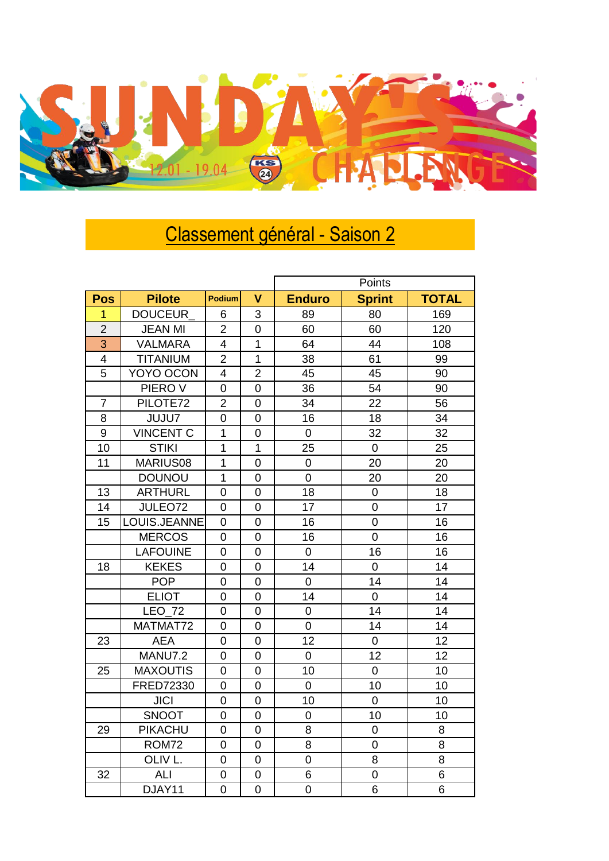

## Classement général - Saison 2

|                |                    |                |                         | Points         |                |              |  |
|----------------|--------------------|----------------|-------------------------|----------------|----------------|--------------|--|
| <b>Pos</b>     | <b>Pilote</b>      | Podium         | $\overline{\mathsf{V}}$ | <b>Enduro</b>  | <b>Sprint</b>  | <b>TOTAL</b> |  |
| 1              | DOUCEUR            | 6              | 3                       | 89             | 80             | 169          |  |
| $\overline{2}$ | <b>JEAN MI</b>     | $\overline{2}$ | 0                       | 60             | 60             | 120          |  |
| 3              | <b>VALMARA</b>     | 4              | 1                       | 64             | 44             | 108          |  |
| 4              | <b>TITANIUM</b>    | $\overline{2}$ | 1                       | 38             | 61             | 99           |  |
| 5              | YOYO OCON          | 4              | $\overline{2}$          | 45             | 45             | 90           |  |
|                | PIERO V            | 0              | $\overline{0}$          | 36             | 54             | 90           |  |
| 7              | PILOTE72           | 2              | 0                       | 34             | 22             | 56           |  |
| 8              | <b>JUJU7</b>       | $\overline{0}$ | $\overline{0}$          | 16             | 18             | 34           |  |
| 9              | <b>VINCENT C</b>   | $\mathbf 1$    | 0                       | $\mathbf 0$    | 32             | 32           |  |
| 10             | <b>STIKI</b>       | 1              | $\mathbf{1}$            | 25             | $\overline{0}$ | 25           |  |
| 11             | MARIUS08           | $\mathbf{1}$   | $\overline{0}$          | $\overline{0}$ | 20             | 20           |  |
|                | <b>DOUNOU</b>      | $\overline{1}$ | $\overline{0}$          | $\overline{0}$ | 20             | 20           |  |
| 13             | <b>ARTHURL</b>     | 0              | 0                       | 18             | $\mathbf 0$    | 18           |  |
| 14             | JULEO72            | 0              | 0                       | 17             | $\mathbf 0$    | 17           |  |
| 15             | LOUIS.JEANNE       | 0              | 0                       | 16             | $\mathbf 0$    | 16           |  |
|                | <b>MERCOS</b>      | 0              | $\overline{0}$          | 16             | $\overline{0}$ | 16           |  |
|                | <b>LAFOUINE</b>    | 0              | $\overline{0}$          | $\overline{0}$ | 16             | 16           |  |
| 18             | <b>KEKES</b>       | 0              | 0                       | 14             | $\overline{0}$ | 14           |  |
|                | <b>POP</b>         | 0              | $\overline{0}$          | $\overline{0}$ | 14             | 14           |  |
|                | <b>ELIOT</b>       | 0              | 0                       | 14             | $\pmb{0}$      | 14           |  |
|                | LEO_72             | 0              | $\mathbf 0$             | $\mathbf 0$    | 14             | 14           |  |
|                | MATMAT72           | 0              | 0                       | 0              | 14             | 14           |  |
| 23             | <b>AEA</b>         | $\overline{0}$ | $\overline{0}$          | 12             | $\mathbf 0$    | 12           |  |
|                | <b>MANU7.2</b>     | $\overline{0}$ | $\overline{0}$          | $\mathbf 0$    | 12             | 12           |  |
| 25             | <b>MAXOUTIS</b>    | 0              | 0                       | 10             | $\overline{0}$ | 10           |  |
|                | FRED72330          | 0              | 0                       | $\overline{0}$ | 10             | 10           |  |
|                | <b>JICI</b>        | 0              | 0                       | 10             | $\mathbf 0$    | 10           |  |
|                | SNOOT              | $\overline{0}$ | $\overline{0}$          | $\mathbf 0$    | 10             | 10           |  |
| 29             | PIKACHU            | 0              | 0                       | 8              | $\mathbf 0$    | 8            |  |
|                | <b>ROM72</b>       | 0              | 0                       | 8              | $\mathbf 0$    | 8            |  |
|                | OLIV <sub>L.</sub> | 0              | 0                       | $\overline{0}$ | 8              | 8            |  |
| 32             | <b>ALI</b>         | 0              | $\overline{0}$          | 6              | $\overline{0}$ | 6            |  |
|                | DJAY11             | $\overline{0}$ | $\overline{0}$          | $\overline{0}$ | 6              | 6            |  |